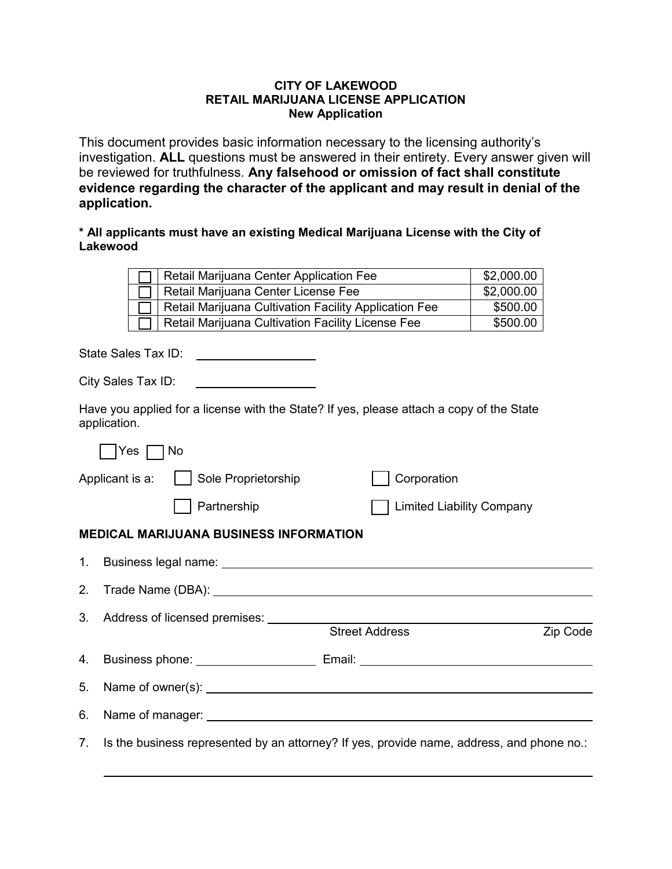## **CITY OF LAKEWOOD RETAIL MARIJUANA LICENSE APPLICATION New Application**

This document provides basic information necessary to the licensing authority's investigation. **ALL** questions must be answered in their entirety. Every answer given will be reviewed for truthfulness. **Any falsehood or omission of fact shall constitute evidence regarding the character of the applicant and may result in denial of the application.**

## **\* All applicants must have an existing Medical Marijuana License with the City of Lakewood**

|              |                                                       | Retail Marijuana Center Application Fee                                                                                                                                                                                              |  |                                  | \$2,000.00 |          |
|--------------|-------------------------------------------------------|--------------------------------------------------------------------------------------------------------------------------------------------------------------------------------------------------------------------------------------|--|----------------------------------|------------|----------|
|              | Retail Marijuana Center License Fee                   |                                                                                                                                                                                                                                      |  | \$2,000.00                       |            |          |
|              | Retail Marijuana Cultivation Facility Application Fee |                                                                                                                                                                                                                                      |  | \$500.00                         |            |          |
|              | Retail Marijuana Cultivation Facility License Fee     |                                                                                                                                                                                                                                      |  |                                  | \$500.00   |          |
|              | State Sales Tax ID:                                   | <u> 1999 - Johann Barbara, martin a</u>                                                                                                                                                                                              |  |                                  |            |          |
|              | City Sales Tax ID:                                    | <u> 1989 - Johann Barn, mars an t-Amerikaansk kommunister (</u>                                                                                                                                                                      |  |                                  |            |          |
| application. |                                                       | Have you applied for a license with the State? If yes, please attach a copy of the State                                                                                                                                             |  |                                  |            |          |
|              |                                                       |                                                                                                                                                                                                                                      |  |                                  |            |          |
|              | Applicant is a:                                       | Sole Proprietorship                                                                                                                                                                                                                  |  | Corporation                      |            |          |
|              |                                                       | Partnership                                                                                                                                                                                                                          |  | <b>Limited Liability Company</b> |            |          |
|              |                                                       | <b>MEDICAL MARIJUANA BUSINESS INFORMATION</b>                                                                                                                                                                                        |  |                                  |            |          |
| 1.           |                                                       | Business legal name: <u>contract and the set of the set of the set of the set of the set of the set of the set of the set of the set of the set of the set of the set of the set of the set of the set of the set of the set of </u> |  |                                  |            |          |
| 2.           |                                                       |                                                                                                                                                                                                                                      |  |                                  |            |          |
| 3.           |                                                       |                                                                                                                                                                                                                                      |  |                                  |            |          |
|              |                                                       |                                                                                                                                                                                                                                      |  | <b>Street Address</b>            |            | Zip Code |
| 4.           |                                                       |                                                                                                                                                                                                                                      |  |                                  |            |          |
| 5.           |                                                       | Name of owner(s): <u>example and the set of owner (s</u> ):                                                                                                                                                                          |  |                                  |            |          |
| 6.           |                                                       |                                                                                                                                                                                                                                      |  |                                  |            |          |
| 7.           |                                                       | Is the business represented by an attorney? If yes, provide name, address, and phone no.:                                                                                                                                            |  |                                  |            |          |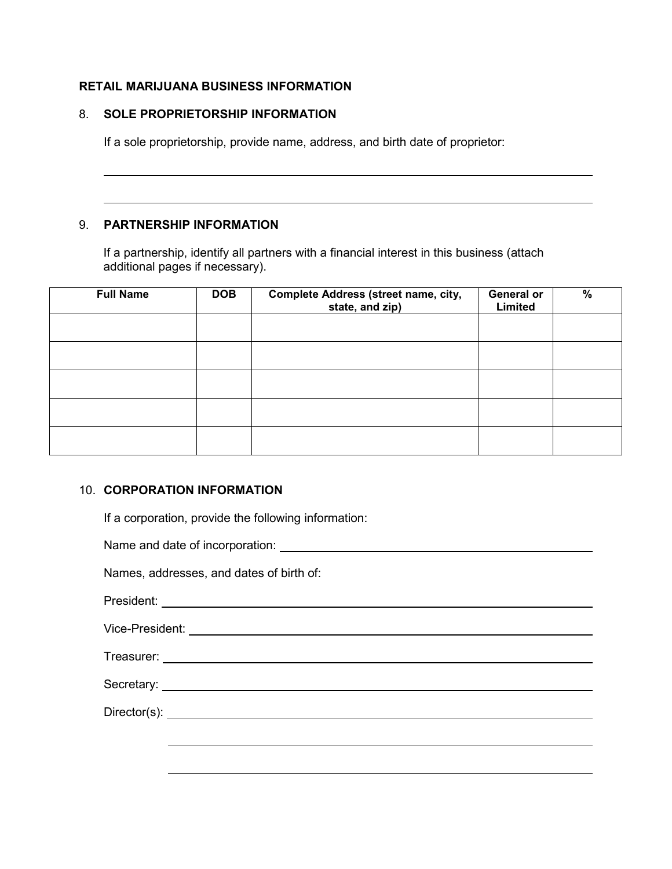## **RETAIL MARIJUANA BUSINESS INFORMATION**

## 8. **SOLE PROPRIETORSHIP INFORMATION**

If a sole proprietorship, provide name, address, and birth date of proprietor:

## 9. **PARTNERSHIP INFORMATION**

 $\overline{\phantom{a}}$ 

 $\overline{\phantom{a}}$ 

If a partnership, identify all partners with a financial interest in this business (attach additional pages if necessary).

| <b>Full Name</b> | <b>DOB</b> | Complete Address (street name, city,<br>state, and zip) | General or<br>Limited | $\%$ |
|------------------|------------|---------------------------------------------------------|-----------------------|------|
|                  |            |                                                         |                       |      |
|                  |            |                                                         |                       |      |
|                  |            |                                                         |                       |      |
|                  |            |                                                         |                       |      |
|                  |            |                                                         |                       |      |

## 10. **CORPORATION INFORMATION**

If a corporation, provide the following information:

Name and date of incorporation:

Names, addresses, and dates of birth of:

President:

Vice-President:

Treasurer: University of the set of the set of the set of the set of the set of the set of the set of the set of the set of the set of the set of the set of the set of the set of the set of the set of the set of the set of

Secretary:

Director(s): <u>example</u> and the contract of the contract of the contract of the contract of the contract of the contract of the contract of the contract of the contract of the contract of the contract of the contract of the

 $\overline{\phantom{a}}$ 

 $\overline{a}$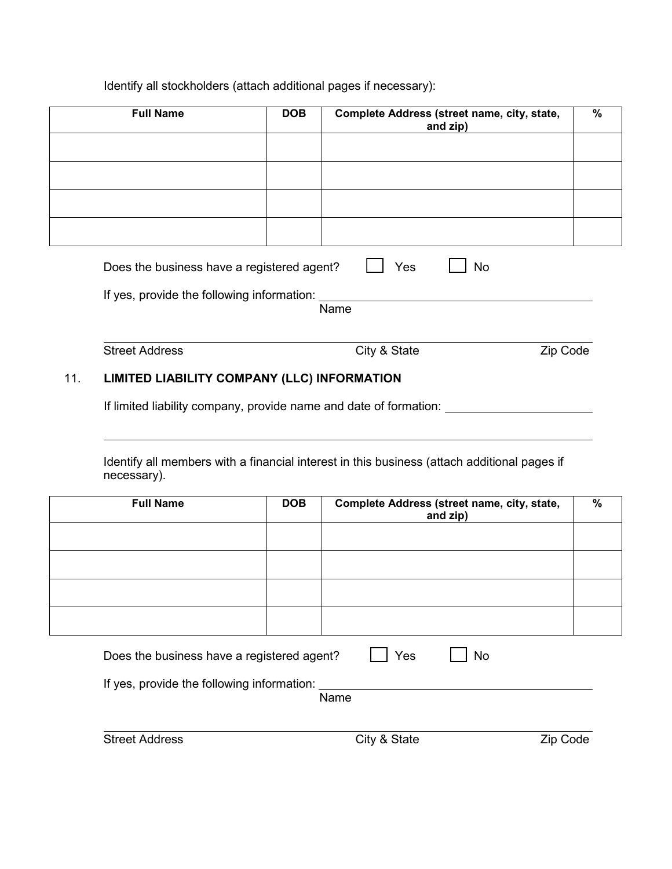## Identify all stockholders (attach additional pages if necessary):

| <b>Full Name</b>                           | <b>DOB</b> | Complete Address (street name, city, state,<br>and zip) | $\%$ |
|--------------------------------------------|------------|---------------------------------------------------------|------|
|                                            |            |                                                         |      |
|                                            |            |                                                         |      |
|                                            |            |                                                         |      |
|                                            |            |                                                         |      |
| Does the business have a registered agent? |            | Yes<br><b>No</b>                                        |      |
| If yes, provide the following information: |            | Name                                                    |      |
|                                            |            |                                                         |      |
| <b>Street Address</b>                      |            | Zip Code<br>City & State                                |      |

## 11. **LIMITED LIABILITY COMPANY (LLC) INFORMATION**

If limited liability company, provide name and date of formation:

Identify all members with a financial interest in this business (attach additional pages if necessary).

| <b>Full Name</b>                           | <b>DOB</b> | Complete Address (street name, city, state,<br>and zip) | $\%$ |
|--------------------------------------------|------------|---------------------------------------------------------|------|
|                                            |            |                                                         |      |
|                                            |            |                                                         |      |
|                                            |            |                                                         |      |
|                                            |            |                                                         |      |
| Does the business have a registered agent? |            | Yes<br>No                                               |      |
| If yes, provide the following information: |            | Name                                                    |      |

| <b>Street Address</b> |
|-----------------------|

 $\overline{a}$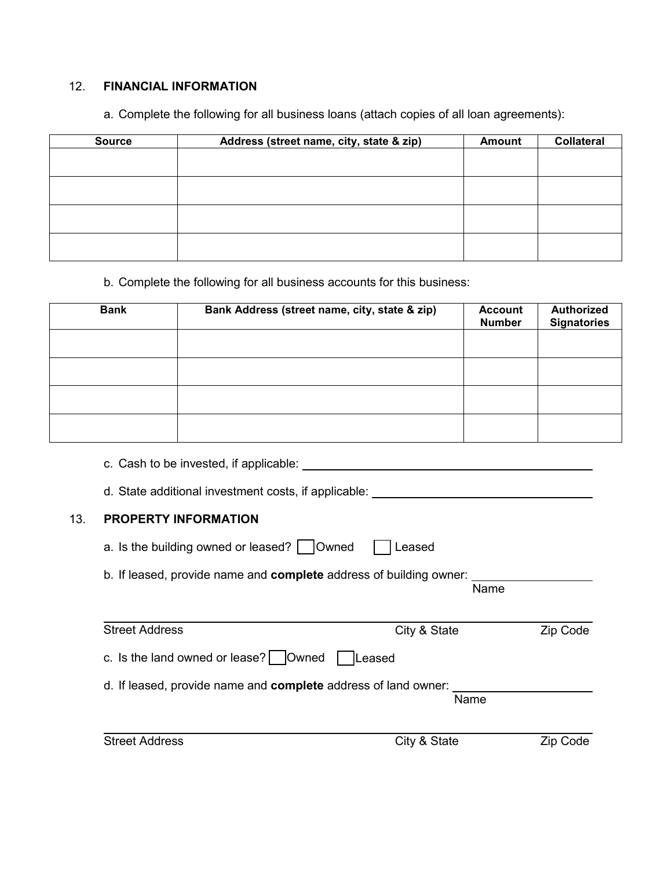## 12. **FINANCIAL INFORMATION**

| <b>Source</b> | Address (street name, city, state & zip) | <b>Amount</b> | <b>Collateral</b> |
|---------------|------------------------------------------|---------------|-------------------|
|               |                                          |               |                   |
|               |                                          |               |                   |
|               |                                          |               |                   |
|               |                                          |               |                   |
|               |                                          |               |                   |
|               |                                          |               |                   |
|               |                                          |               |                   |
|               |                                          |               |                   |

a. Complete the following for all business loans (attach copies of all loan agreements):

# b. Complete the following for all business accounts for this business:

| <b>Bank</b> | Bank Address (street name, city, state & zip) | <b>Account</b><br><b>Number</b> | <b>Authorized</b><br><b>Signatories</b> |
|-------------|-----------------------------------------------|---------------------------------|-----------------------------------------|
|             |                                               |                                 |                                         |
|             |                                               |                                 |                                         |
|             |                                               |                                 |                                         |
|             |                                               |                                 |                                         |

c. Cash to be invested, if applicable:

d. State additional investment costs, if applicable:

## 13. **PROPERTY INFORMATION**

- a. Is the building owned or leased?  $\Box$  Owned  $\Box$  Leased
- b. If leased, provide name and **complete** address of building owner: Name

| <b>Street Address</b>                                          | City & State  | Zip Code |
|----------------------------------------------------------------|---------------|----------|
| c. Is the land owned or lease? $\vert$ $\vert$ Owned $\vert$   | <b>Leased</b> |          |
| d. If leased, provide name and complete address of land owner: | Name          |          |
| <b>Street Address</b>                                          | City & State  | Zip Code |